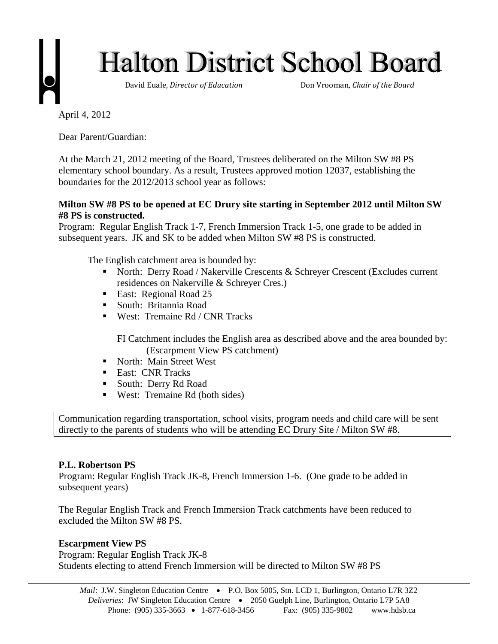

April 4, 2012

Dear Parent/Guardian:

At the March 21, 2012 meeting of the Board, Trustees deliberated on the Milton SW #8 PS elementary school boundary. As a result, Trustees approved motion 12037, establishing the boundaries for the 2012/2013 school year as follows:

## **Milton SW #8 PS to be opened at EC Drury site starting in September 2012 until Milton SW #8 PS is constructed.**

Program: Regular English Track 1-7, French Immersion Track 1-5, one grade to be added in subsequent years. JK and SK to be added when Milton SW #8 PS is constructed.

The English catchment area is bounded by:

- North: Derry Road / Nakerville Crescents & Schreyer Crescent (Excludes current residences on Nakerville & Schreyer Cres.)
- **East: Regional Road 25**
- South: Britannia Road
- West: Tremaine Rd / CNR Tracks

FI Catchment includes the English area as described above and the area bounded by: (Escarpment View PS catchment)

- North: Main Street West
- **East: CNR Tracks**
- South: Derry Rd Road
- West: Tremaine Rd (both sides)

Communication regarding transportation, school visits, program needs and child care will be sent directly to the parents of students who will be attending EC Drury Site / Milton SW #8.

## **P.L. Robertson PS**

Program: Regular English Track JK-8, French Immersion 1-6. (One grade to be added in subsequent years)

The Regular English Track and French Immersion Track catchments have been reduced to excluded the Milton SW #8 PS.

## **Escarpment View PS**

Program: Regular English Track JK-8 Students electing to attend French Immersion will be directed to Milton SW #8 PS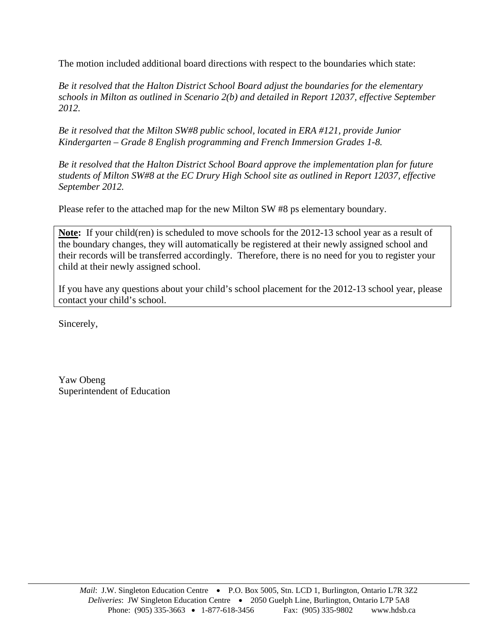The motion included additional board directions with respect to the boundaries which state:

*Be it resolved that the Halton District School Board adjust the boundaries for the elementary schools in Milton as outlined in Scenario 2(b) and detailed in Report 12037, effective September 2012.* 

*Be it resolved that the Milton SW#8 public school, located in ERA #121, provide Junior Kindergarten – Grade 8 English programming and French Immersion Grades 1-8.* 

*Be it resolved that the Halton District School Board approve the implementation plan for future students of Milton SW#8 at the EC Drury High School site as outlined in Report 12037, effective September 2012.*

Please refer to the attached map for the new Milton SW #8 ps elementary boundary.

**Note:** If your child(ren) is scheduled to move schools for the 2012-13 school year as a result of the boundary changes, they will automatically be registered at their newly assigned school and their records will be transferred accordingly. Therefore, there is no need for you to register your child at their newly assigned school.

If you have any questions about your child's school placement for the 2012-13 school year, please contact your child's school.

Sincerely,

Yaw Obeng Superintendent of Education